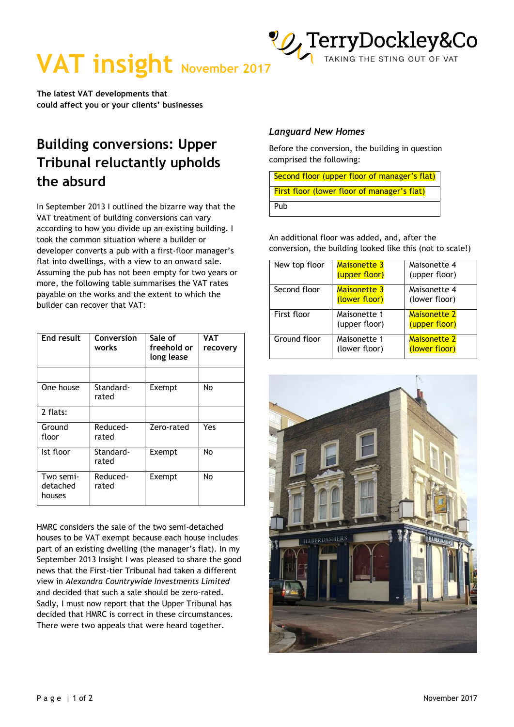

**VAT insight November 2017** 

**The latest VAT developments that could affect you or your clients' businesses** 

## **Building conversions: Upper Tribunal reluctantly upholds the absurd**

In September 2013 I outlined the bizarre way that the VAT treatment of building conversions can vary according to how you divide up an existing building. I took the common situation where a builder or developer converts a pub with a first-floor manager's flat into dwellings, with a view to an onward sale. Assuming the pub has not been empty for two years or more, the following table summarises the VAT rates payable on the works and the extent to which the builder can recover that VAT:

| End result                      | Conversion<br>works | Sale of<br>freehold or<br>long lease | VAT<br>recovery |
|---------------------------------|---------------------|--------------------------------------|-----------------|
|                                 |                     |                                      |                 |
| One house                       | Standard-<br>rated  | Exempt                               | No              |
| 2 flats:                        |                     |                                      |                 |
| Ground<br>floor                 | Reduced-<br>rated   | Zero-rated                           | Yes             |
| Ist floor                       | Standard-<br>rated  | Exempt                               | No              |
| Two semi-<br>detached<br>houses | Reduced-<br>rated   | Exempt                               | No              |

HMRC considers the sale of the two semi-detached houses to be VAT exempt because each house includes part of an existing dwelling (the manager's flat). In my September 2013 Insight I was pleased to share the good news that the First-tier Tribunal had taken a different view in *Alexandra Countrywide Investments Limited* and decided that such a sale should be zero-rated. Sadly, I must now report that the Upper Tribunal has decided that HMRC is correct in these circumstances. There were two appeals that were heard together.

#### *Languard New Homes*

Before the conversion, the building in question comprised the following:

| Second floor (upper floor of manager's flat) |  |  |  |
|----------------------------------------------|--|--|--|
| First floor (lower floor of manager's flat)  |  |  |  |
| Pub                                          |  |  |  |

An additional floor was added, and, after the conversion, the building looked like this (not to scale!)

| New top floor | Maisonette 3<br>(upper floor)        | Maisonette 4<br>(upper floor)        |
|---------------|--------------------------------------|--------------------------------------|
| Second floor  | <b>Maisonette 3</b><br>(lower floor) | Maisonette 4<br>(lower floor)        |
| First floor   | Maisonette 1<br>(upper floor)        | <b>Maisonette 2</b><br>(upper floor) |
| Ground floor  | Maisonette 1<br>(lower floor)        | <b>Maisonette 2</b><br>(lower floor) |